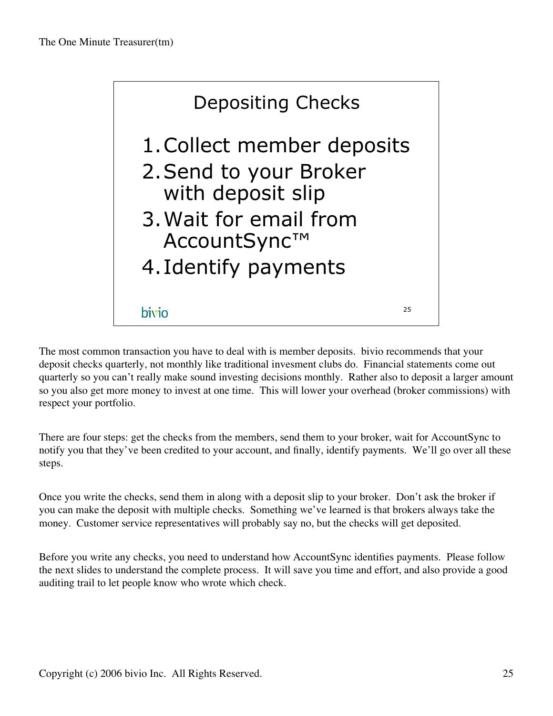

The most common transaction you have to deal with is member deposits. bivio recommends that your deposit checks quarterly, not monthly like traditional invesment clubs do. Financial statements come out quarterly so you can't really make sound investing decisions monthly. Rather also to deposit a larger amount so you also get more money to invest at one time. This will lower your overhead (broker commissions) with respect your portfolio.

There are four steps: get the checks from the members, send them to your broker, wait for AccountSync to notify you that they've been credited to your account, and finally, identify payments. We'll go over all these steps.

Once you write the checks, send them in along with a deposit slip to your broker. Don't ask the broker if you can make the deposit with multiple checks. Something we've learned is that brokers always take the money. Customer service representatives will probably say no, but the checks will get deposited.

Before you write any checks, you need to understand how AccountSync identifies payments. Please follow the next slides to understand the complete process. It will save you time and effort, and also provide a good auditing trail to let people know who wrote which check.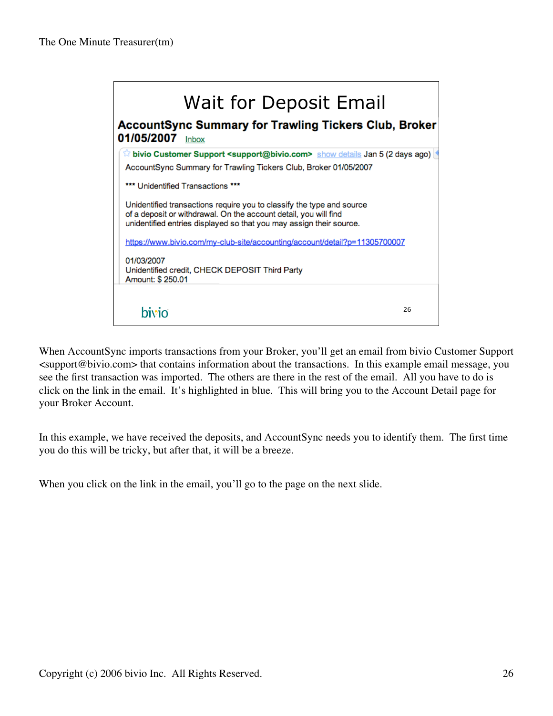| Wait for Deposit Email<br><b>AccountSync Summary for Trawling Tickers Club, Broker</b><br>01/05/2007 Inbox                                |  |
|-------------------------------------------------------------------------------------------------------------------------------------------|--|
| $\%$ bivio Customer Support <support@bivio.com> show details Jan 5 (2 days ago)</support@bivio.com>                                       |  |
| AccountSync Summary for Trawling Tickers Club, Broker 01/05/2007                                                                          |  |
| *** Unidentified Transactions ***                                                                                                         |  |
| Unidentified transactions require you to classify the type and source<br>of a deposit or withdrawal. On the account detail, you will find |  |
| unidentified entries displayed so that you may assign their source.                                                                       |  |
| https://www.bivio.com/my-club-site/accounting/account/detail?p=11305700007                                                                |  |
| 01/03/2007                                                                                                                                |  |
| Unidentified credit, CHECK DEPOSIT Third Party<br>Amount: \$250.01                                                                        |  |
|                                                                                                                                           |  |
|                                                                                                                                           |  |

When AccountSync imports transactions from your Broker, you'll get an email from bivio Customer Support <support@bivio.com> that contains information about the transactions. In this example email message, you see the first transaction was imported. The others are there in the rest of the email. All you have to do is click on the link in the email. It's highlighted in blue. This will bring you to the Account Detail page for your Broker Account.

In this example, we have received the deposits, and AccountSync needs you to identify them. The first time you do this will be tricky, but after that, it will be a breeze.

When you click on the link in the email, you'll go to the page on the next slide.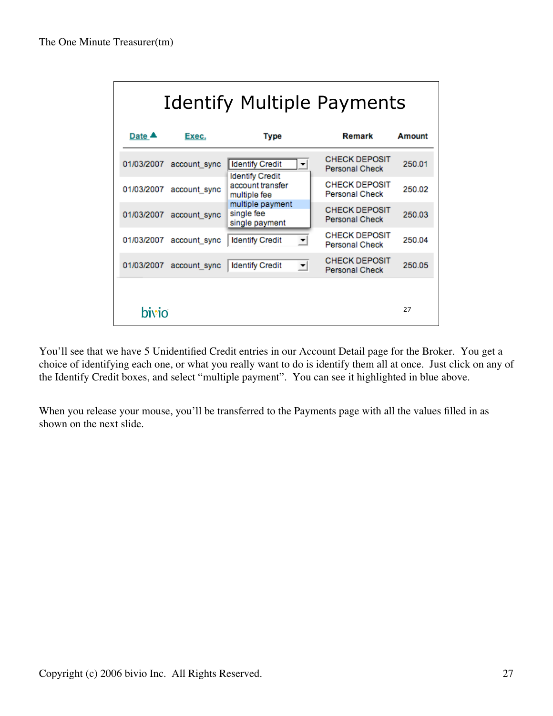| Identify Multiple Payments |                         |                                                            |                                               |        |  |
|----------------------------|-------------------------|------------------------------------------------------------|-----------------------------------------------|--------|--|
| Date $\triangle$           | Exec.                   | Type                                                       | Remark                                        | Amount |  |
| 01/03/2007                 | account_sync            | Identify Credit<br>▼                                       | <b>CHECK DEPOSIT</b><br><b>Personal Check</b> | 250.01 |  |
| 01/03/2007                 | account_sync            | <b>Identify Credit</b><br>account transfer<br>multiple fee | <b>CHECK DEPOSIT</b><br><b>Personal Check</b> | 250.02 |  |
| 01/03/2007                 | account sync            | multiple payment<br>single fee<br>single payment           | <b>CHECK DEPOSIT</b><br>Personal Check        | 250.03 |  |
| 01/03/2007                 | account sync            | <b>Identify Credit</b><br>$\blacktriangledown$             | <b>CHECK DEPOSIT</b><br><b>Personal Check</b> | 250.04 |  |
|                            | 01/03/2007 account_sync | <b>Identify Credit</b><br>회                                | <b>CHECK DEPOSIT</b><br><b>Personal Check</b> | 250.05 |  |
| bivio                      |                         |                                                            |                                               | 27     |  |

You'll see that we have 5 Unidentified Credit entries in our Account Detail page for the Broker. You get a choice of identifying each one, or what you really want to do is identify them all at once. Just click on any of the Identify Credit boxes, and select "multiple payment". You can see it highlighted in blue above.

When you release your mouse, you'll be transferred to the Payments page with all the values filled in as shown on the next slide.